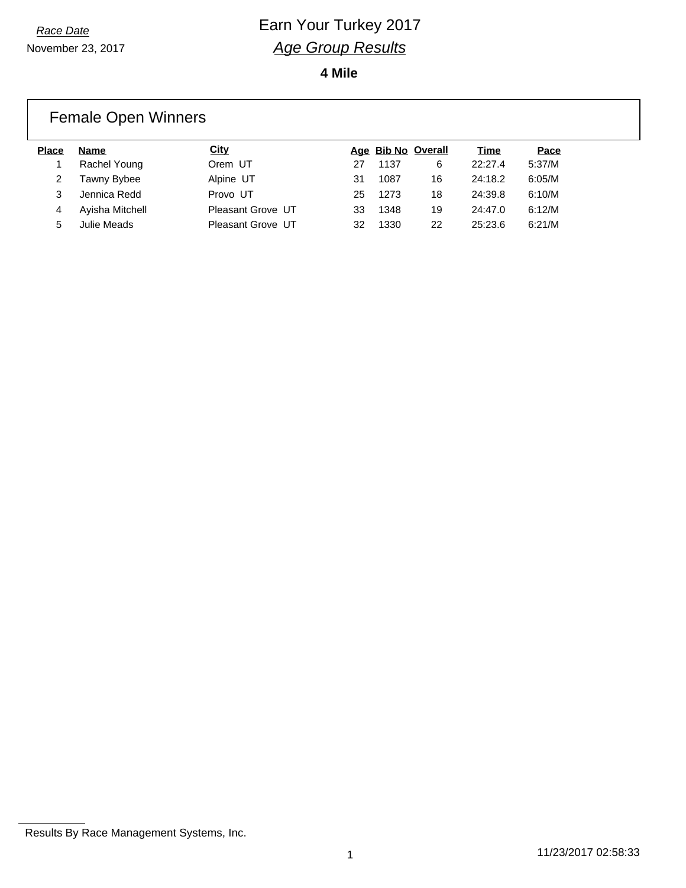**4 Mile**

### Female Open Winners

| <b>Place</b> | Name            | City              |    | Age Bib No Overall |    | Time    | Pace   |
|--------------|-----------------|-------------------|----|--------------------|----|---------|--------|
|              | Rachel Young    | Orem UT           | 27 | 1137               | 6  | 22:27.4 | 5:37/M |
|              | Tawny Bybee     | Alpine UT         | 31 | 1087               | 16 | 24:18.2 | 6:05/M |
| 3            | Jennica Redd    | Provo UT          | 25 | 1273               | 18 | 24:39.8 | 6:10/M |
| 4            | Ayisha Mitchell | Pleasant Grove UT | 33 | 1348               | 19 | 24:47.0 | 6:12/M |
| 5            | Julie Meads     | Pleasant Grove UT | 32 | 1330               | 22 | 25:23.6 | 6:21/M |

Results By Race Management Systems, Inc.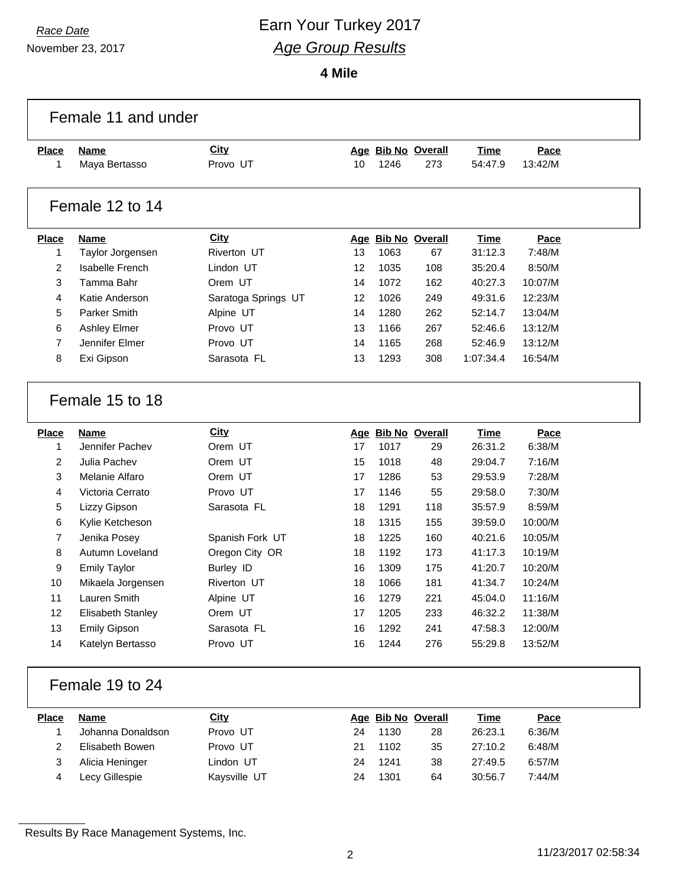# *Race Date* **Earn Your Turkey 2017** *Age Group Results*

**4 Mile**

|                | Female 11 and under    |                     |    |      |                    |             |         |  |
|----------------|------------------------|---------------------|----|------|--------------------|-------------|---------|--|
| <b>Place</b>   | <b>Name</b>            | <b>City</b>         |    |      | Age Bib No Overall | Time        | Pace    |  |
| 1              | Maya Bertasso          | Provo UT            | 10 | 1246 | 273                | 54:47.9     | 13:42/M |  |
|                |                        |                     |    |      |                    |             |         |  |
|                | Female 12 to 14        |                     |    |      |                    |             |         |  |
| <b>Place</b>   | <b>Name</b>            | <b>City</b>         |    |      | Age Bib No Overall | <b>Time</b> | Pace    |  |
| 1              | Taylor Jorgensen       | Riverton UT         | 13 | 1063 | 67                 | 31:12.3     | 7:48/M  |  |
| $\overline{2}$ | <b>Isabelle French</b> | Lindon UT           | 12 | 1035 | 108                | 35:20.4     | 8:50/M  |  |
| 3              | Tamma Bahr             | Orem UT             | 14 | 1072 | 162                | 40:27.3     | 10:07/M |  |
| 4              | Katie Anderson         | Saratoga Springs UT | 12 | 1026 | 249                | 49:31.6     | 12:23/M |  |
| 5              | Parker Smith           | Alpine UT           | 14 | 1280 | 262                | 52:14.7     | 13:04/M |  |
| 6              | <b>Ashley Elmer</b>    | Provo UT            | 13 | 1166 | 267                | 52:46.6     | 13:12/M |  |
| $\overline{7}$ | Jennifer Elmer         | Provo UT            | 14 | 1165 | 268                | 52:46.9     | 13:12/M |  |
| 8              | Exi Gipson             | Sarasota FL         | 13 | 1293 | 308                | 1:07:34.4   | 16:54/M |  |
|                | Female 15 to 18        |                     |    |      |                    |             |         |  |
|                |                        |                     |    |      |                    |             |         |  |
| <b>Place</b>   | <b>Name</b>            | <b>City</b>         |    |      | Age Bib No Overall | Time        | Pace    |  |
| 1              | Jennifer Pachev        | Orem UT             | 17 | 1017 | 29                 | 26:31.2     | 6:38/M  |  |
| 2              | Julia Pachev           | Orem UT             | 15 | 1018 | 48                 | 29:04.7     | 7:16/M  |  |
| 3              | Melanie Alfaro         | Orem UT             | 17 | 1286 | 53                 | 29:53.9     | 7:28/M  |  |
| 4              | Victoria Cerrato       | Provo UT            | 17 | 1146 | 55                 | 29:58.0     | 7:30/M  |  |
| 5              | Lizzy Gipson           | Sarasota FL         | 18 | 1291 | 118                | 35:57.9     | 8:59/M  |  |
| 6              | Kylie Ketcheson        |                     | 18 | 1315 | 155                | 39:59.0     | 10:00/M |  |
| 7              | Jenika Posey           | Spanish Fork UT     | 18 | 1225 | 160                | 40:21.6     | 10:05/M |  |
| 8              | Autumn Loveland        | Oregon City OR      | 18 | 1192 | 173                | 41:17.3     | 10:19/M |  |
| 9              | <b>Emily Taylor</b>    | <b>Burley ID</b>    | 16 | 1309 | 175                | 41:20.7     | 10:20/M |  |
| 10             | Mikaela Jorgensen      | Riverton UT         | 18 | 1066 | 181                | 41:34.7     | 10:24/M |  |
| 11             | Lauren Smith           | Alpine UT           | 16 | 1279 | 221                | 45:04.0     | 11:16/M |  |
| 12             | Elisabeth Stanley      | Orem UT             | 17 | 1205 | 233                | 46:32.2     | 11:38/M |  |
| 13             | <b>Emily Gipson</b>    | Sarasota FL         | 16 | 1292 | 241                | 47:58.3     | 12:00/M |  |
| 14             | Katelyn Bertasso       | Provo UT            | 16 | 1244 | 276                | 55:29.8     | 13:52/M |  |
|                |                        |                     |    |      |                    |             |         |  |
|                | Female 19 to 24        |                     |    |      |                    |             |         |  |
| <b>Place</b>   | <b>Name</b>            | City                |    |      | Age Bib No Overall | <b>Time</b> | Pace    |  |
| 1              | Johanna Donaldson      | Provo UT            | 24 | 1130 | 28                 | 26:23.1     | 6:36/M  |  |
| 2              | Elisabeth Bowen        | Provo UT            | 21 | 1102 | 35                 | 27:10.2     | 6:48/M  |  |
| 3              | Alicia Heninger        | Lindon UT           | 24 | 1241 | 38                 | 27:49.5     | 6:57/M  |  |
| 4              | Lecy Gillespie         | Kaysville UT        | 24 | 1301 | 64                 | 30:56.7     | 7:44/M  |  |
|                |                        |                     |    |      |                    |             |         |  |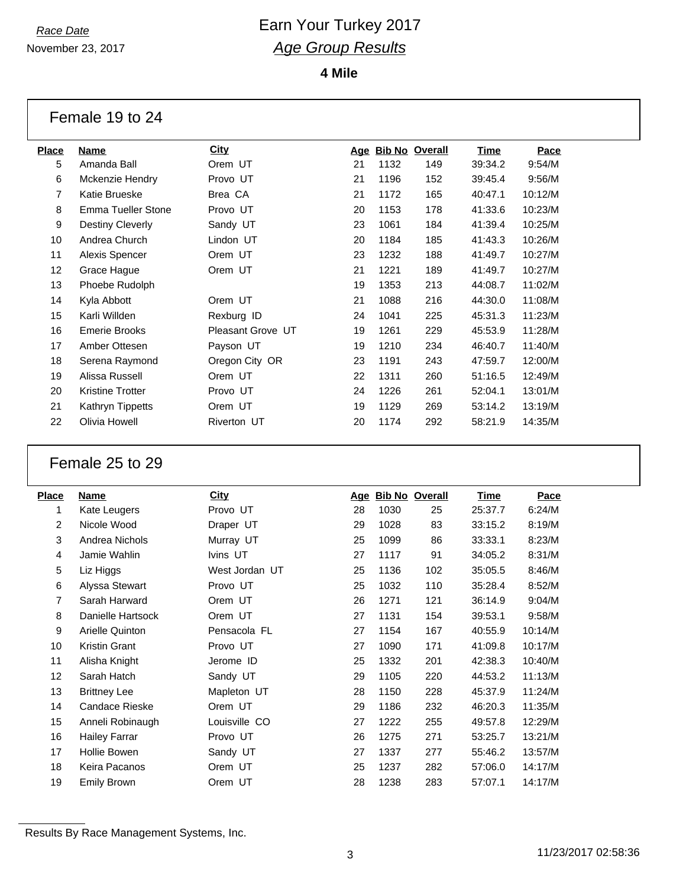November 23, 2017

**4 Mile**

#### Female 19 to 24

| Place | <b>Name</b>        | <b>City</b>       | <u>Age</u> |      | <b>Bib No Overall</b> | Time    | Pace    |
|-------|--------------------|-------------------|------------|------|-----------------------|---------|---------|
| 5     | Amanda Ball        | Orem UT           | 21         | 1132 | 149                   | 39:34.2 | 9:54/M  |
| 6     | Mckenzie Hendry    | Provo UT          | 21         | 1196 | 152                   | 39:45.4 | 9:56/M  |
| 7     | Katie Brueske      | Brea CA           | 21         | 1172 | 165                   | 40:47.1 | 10:12/M |
| 8     | Emma Tueller Stone | Provo UT          | 20         | 1153 | 178                   | 41:33.6 | 10:23/M |
| 9     | Destiny Cleverly   | Sandy UT          | 23         | 1061 | 184                   | 41:39.4 | 10:25/M |
| 10    | Andrea Church      | Lindon UT         | 20         | 1184 | 185                   | 41:43.3 | 10:26/M |
| 11    | Alexis Spencer     | Orem UT           | 23         | 1232 | 188                   | 41:49.7 | 10:27/M |
| 12    | Grace Hague        | Orem UT           | 21         | 1221 | 189                   | 41:49.7 | 10:27/M |
| 13    | Phoebe Rudolph     |                   | 19         | 1353 | 213                   | 44:08.7 | 11:02/M |
| 14    | Kyla Abbott        | Orem UT           | 21         | 1088 | 216                   | 44:30.0 | 11:08/M |
| 15    | Karli Willden      | Rexburg ID        | 24         | 1041 | 225                   | 45:31.3 | 11:23/M |
| 16    | Emerie Brooks      | Pleasant Grove UT | 19         | 1261 | 229                   | 45:53.9 | 11:28/M |
| 17    | Amber Ottesen      | Payson UT         | 19         | 1210 | 234                   | 46:40.7 | 11:40/M |
| 18    | Serena Raymond     | Oregon City OR    | 23         | 1191 | 243                   | 47:59.7 | 12:00/M |
| 19    | Alissa Russell     | Orem UT           | 22         | 1311 | 260                   | 51:16.5 | 12:49/M |
| 20    | Kristine Trotter   | Provo UT          | 24         | 1226 | 261                   | 52:04.1 | 13:01/M |
| 21    | Kathryn Tippetts   | Orem UT           | 19         | 1129 | 269                   | 53:14.2 | 13:19/M |
| 22    | Olivia Howell      | Riverton UT       | 20         | 1174 | 292                   | 58:21.9 | 14:35/M |
|       |                    |                   |            |      |                       |         |         |

### Female 25 to 29

| <b>Place</b>   | Name                 | <b>City</b>    | <u>Age</u> | <b>Bib No Overall</b> |     | Time    | Pace    |
|----------------|----------------------|----------------|------------|-----------------------|-----|---------|---------|
| 1              | Kate Leugers         | Provo UT       | 28         | 1030                  | 25  | 25:37.7 | 6:24/M  |
| 2              | Nicole Wood          | Draper UT      | 29         | 1028                  | 83  | 33:15.2 | 8:19/M  |
| 3              | Andrea Nichols       | Murray UT      | 25         | 1099                  | 86  | 33:33.1 | 8:23/M  |
| $\overline{4}$ | Jamie Wahlin         | Ivins UT       | 27         | 1117                  | 91  | 34:05.2 | 8:31/M  |
| 5              | Liz Higgs            | West Jordan UT | 25         | 1136                  | 102 | 35:05.5 | 8:46/M  |
| 6              | Alyssa Stewart       | Provo UT       | 25         | 1032                  | 110 | 35:28.4 | 8:52/M  |
| 7              | Sarah Harward        | Orem UT        | 26         | 1271                  | 121 | 36:14.9 | 9:04/M  |
| 8              | Danielle Hartsock    | Orem UT        | 27         | 1131                  | 154 | 39:53.1 | 9:58/M  |
| 9              | Arielle Quinton      | Pensacola FL   | 27         | 1154                  | 167 | 40:55.9 | 10:14/M |
| 10             | Kristin Grant        | Provo UT       | 27         | 1090                  | 171 | 41:09.8 | 10:17/M |
| 11             | Alisha Knight        | Jerome ID      | 25         | 1332                  | 201 | 42:38.3 | 10:40/M |
| 12             | Sarah Hatch          | Sandy UT       | 29         | 1105                  | 220 | 44:53.2 | 11:13/M |
| 13             | <b>Brittney Lee</b>  | Mapleton UT    | 28         | 1150                  | 228 | 45:37.9 | 11:24/M |
| 14             | Candace Rieske       | Orem UT        | 29         | 1186                  | 232 | 46:20.3 | 11:35/M |
| 15             | Anneli Robinaugh     | Louisville CO  | 27         | 1222                  | 255 | 49:57.8 | 12:29/M |
| 16             | <b>Hailey Farrar</b> | Provo UT       | 26         | 1275                  | 271 | 53:25.7 | 13:21/M |
| 17             | Hollie Bowen         | Sandy UT       | 27         | 1337                  | 277 | 55:46.2 | 13:57/M |
| 18             | Keira Pacanos        | Orem UT        | 25         | 1237                  | 282 | 57:06.0 | 14:17/M |
| 19             | <b>Emily Brown</b>   | Orem UT        | 28         | 1238                  | 283 | 57:07.1 | 14:17/M |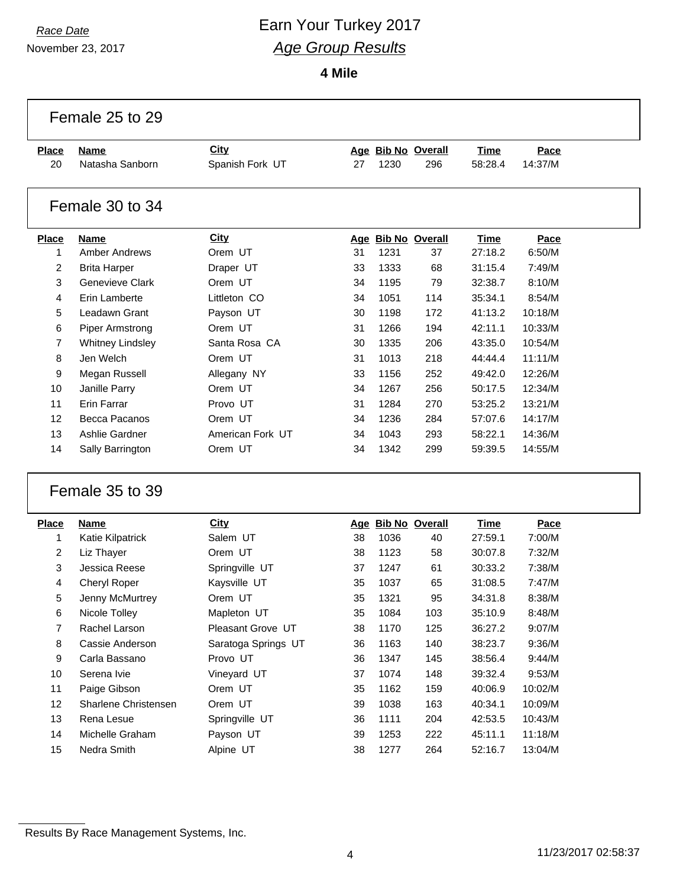# *Race Date* **Earn Your Turkey 2017** *Age Group Results*

|                | Female 25 to 29         |                     |    |      |                    |             |         |  |
|----------------|-------------------------|---------------------|----|------|--------------------|-------------|---------|--|
| <b>Place</b>   | <b>Name</b>             | City                |    |      | Age Bib No Overall | Time        | Pace    |  |
| 20             | Natasha Sanborn         | Spanish Fork UT     | 27 | 1230 | 296                | 58:28.4     | 14:37/M |  |
|                | Female 30 to 34         |                     |    |      |                    |             |         |  |
| <b>Place</b>   | <b>Name</b>             | City                |    |      | Age Bib No Overall | <b>Time</b> | Pace    |  |
| 1              | Amber Andrews           | Orem UT             | 31 | 1231 | 37                 | 27:18.2     | 6:50/M  |  |
| 2              | <b>Brita Harper</b>     | Draper UT           | 33 | 1333 | 68                 | 31:15.4     | 7:49/M  |  |
| 3              | <b>Genevieve Clark</b>  | Orem UT             | 34 | 1195 | 79                 | 32:38.7     | 8:10/M  |  |
| 4              | Erin Lamberte           | Littleton CO        | 34 | 1051 | 114                | 35:34.1     | 8:54/M  |  |
| 5              | Leadawn Grant           | Payson UT           | 30 | 1198 | 172                | 41:13.2     | 10:18/M |  |
| 6              | <b>Piper Armstrong</b>  | Orem UT             | 31 | 1266 | 194                | 42:11.1     | 10:33/M |  |
| $\overline{7}$ | <b>Whitney Lindsley</b> | Santa Rosa CA       | 30 | 1335 | 206                | 43:35.0     | 10:54/M |  |
| 8              | Jen Welch               | Orem UT             | 31 | 1013 | 218                | 44:44.4     | 11:11/M |  |
| 9              | Megan Russell           | Allegany NY         | 33 | 1156 | 252                | 49:42.0     | 12:26/M |  |
| 10             | Janille Parry           | Orem UT             | 34 | 1267 | 256                | 50:17.5     | 12:34/M |  |
| 11             | Erin Farrar             | Provo UT            | 31 | 1284 | 270                | 53:25.2     | 13:21/M |  |
| 12             | Becca Pacanos           | Orem UT             | 34 | 1236 | 284                | 57:07.6     | 14:17/M |  |
| 13             | Ashlie Gardner          | American Fork UT    | 34 | 1043 | 293                | 58:22.1     | 14:36/M |  |
| 14             | Sally Barrington        | Orem UT             | 34 | 1342 | 299                | 59:39.5     | 14:55/M |  |
|                | Female 35 to 39         |                     |    |      |                    |             |         |  |
| <b>Place</b>   | <b>Name</b>             | City                |    |      | Age Bib No Overall | <b>Time</b> | Pace    |  |
| 1              | Katie Kilpatrick        | Salem UT            | 38 | 1036 | 40                 | 27:59.1     | 7:00/M  |  |
| 2              | Liz Thayer              | Orem UT             | 38 | 1123 | 58                 | 30:07.8     | 7:32/M  |  |
| 3              | Jessica Reese           | Springville UT      | 37 | 1247 | 61                 | 30:33.2     | 7:38/M  |  |
| 4              | Cheryl Roper            | Kaysville UT        | 35 | 1037 | 65                 | 31:08.5     | 7:47/M  |  |
| 5              | Jenny McMurtrey         | Orem UT             | 35 | 1321 | 95                 | 34:31.8     | 8:38/M  |  |
| 6              | Nicole Tolley           | Mapleton UT         | 35 | 1084 | 103                | 35:10.9     | 8:48/M  |  |
| 7              | Rachel Larson           | Pleasant Grove UT   | 38 | 1170 | 125                | 36:27.2     | 9:07/M  |  |
| 8              | Cassie Anderson         | Saratoga Springs UT | 36 | 1163 | 140                | 38:23.7     | 9:36/M  |  |
| 9              | Carla Bassano           | Provo UT            | 36 | 1347 | 145                | 38:56.4     | 9:44/M  |  |
| 10             | Serena Ivie             | Vineyard UT         | 37 | 1074 | 148                | 39:32.4     | 9:53/M  |  |
| 11             | Paige Gibson            | Orem UT             | 35 | 1162 | 159                | 40:06.9     | 10:02/M |  |
| 12             | Sharlene Christensen    | Orem UT             | 39 | 1038 | 163                | 40:34.1     | 10:09/M |  |
| 13             | Rena Lesue              | Springville UT      | 36 | 1111 | 204                | 42:53.5     | 10:43/M |  |
| 14             | Michelle Graham         | Payson UT           | 39 | 1253 | 222                | 45:11.1     | 11:18/M |  |
| 15             | Nedra Smith             | Alpine UT           | 38 | 1277 | 264                | 52:16.7     | 13:04/M |  |
|                |                         |                     |    |      |                    |             |         |  |

Results By Race Management Systems, Inc.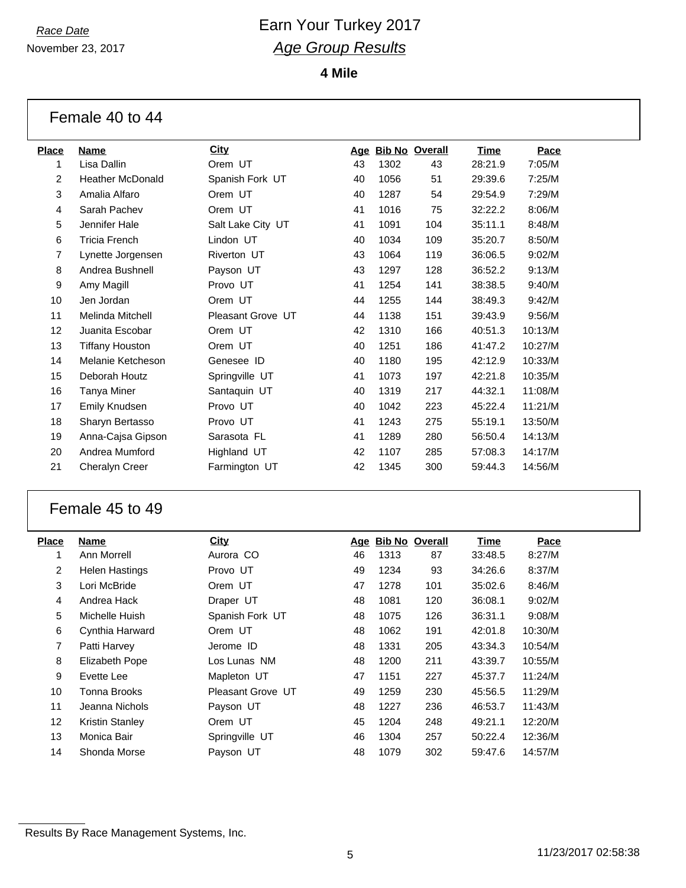November 23, 2017

**4 Mile**

| Female 40 to 44 |  |  |  |
|-----------------|--|--|--|
|-----------------|--|--|--|

| <b>Name</b>             | <b>City</b>       | Age |      |     | Time                  | Pace    |
|-------------------------|-------------------|-----|------|-----|-----------------------|---------|
| Lisa Dallin             | Orem UT           | 43  | 1302 | 43  | 28:21.9               | 7:05/M  |
| <b>Heather McDonald</b> | Spanish Fork UT   | 40  | 1056 | 51  | 29:39.6               | 7:25/M  |
| Amalia Alfaro           | Orem UT           | 40  | 1287 | 54  | 29:54.9               | 7:29/M  |
| Sarah Pachev            | Orem UT           | 41  | 1016 | 75  | 32:22.2               | 8:06/M  |
| Jennifer Hale           | Salt Lake City UT | 41  | 1091 | 104 | 35:11.1               | 8:48/M  |
| <b>Tricia French</b>    | Lindon UT         | 40  | 1034 | 109 | 35:20.7               | 8:50/M  |
| Lynette Jorgensen       | Riverton UT       | 43  | 1064 | 119 | 36:06.5               | 9:02/M  |
| Andrea Bushnell         | Payson UT         | 43  | 1297 | 128 | 36:52.2               | 9:13/M  |
| Amy Magill              | Provo UT          | 41  | 1254 | 141 | 38:38.5               | 9:40/M  |
| Jen Jordan              | Orem UT           | 44  | 1255 | 144 | 38:49.3               | 9:42/M  |
| Melinda Mitchell        | Pleasant Grove UT | 44  | 1138 | 151 | 39:43.9               | 9:56/M  |
| Juanita Escobar         | Orem UT           | 42  | 1310 | 166 | 40:51.3               | 10:13/M |
| <b>Tiffany Houston</b>  | Orem UT           | 40  | 1251 | 186 | 41:47.2               | 10:27/M |
| Melanie Ketcheson       | Genesee ID        | 40  | 1180 | 195 | 42:12.9               | 10:33/M |
| Deborah Houtz           | Springville UT    | 41  | 1073 | 197 | 42:21.8               | 10:35/M |
| Tanya Miner             | Santaquin UT      | 40  | 1319 | 217 | 44:32.1               | 11:08/M |
| Emily Knudsen           | Provo UT          | 40  | 1042 | 223 | 45:22.4               | 11:21/M |
| Sharyn Bertasso         | Provo UT          | 41  | 1243 | 275 | 55:19.1               | 13:50/M |
| Anna-Cajsa Gipson       | Sarasota FL       | 41  | 1289 | 280 | 56:50.4               | 14:13/M |
| Andrea Mumford          | Highland UT       | 42  | 1107 | 285 | 57:08.3               | 14:17/M |
| Cheralyn Creer          | Farmington UT     | 42  | 1345 | 300 | 59:44.3               | 14:56/M |
|                         |                   |     |      |     | <b>Bib No Overall</b> |         |

### Female 45 to 49

| <b>Place</b>    | <b>Name</b>            | City              |    | Age Bib No Overall |     | Time    | Pace    |
|-----------------|------------------------|-------------------|----|--------------------|-----|---------|---------|
| 1               | Ann Morrell            | Aurora CO         | 46 | 1313               | 87  | 33:48.5 | 8:27/M  |
| $\overline{2}$  | <b>Helen Hastings</b>  | Provo UT          | 49 | 1234               | 93  | 34:26.6 | 8:37/M  |
| 3               | Lori McBride           | Orem UT           | 47 | 1278               | 101 | 35:02.6 | 8:46/M  |
| 4               | Andrea Hack            | Draper UT         | 48 | 1081               | 120 | 36:08.1 | 9:02/M  |
| 5               | Michelle Huish         | Spanish Fork UT   | 48 | 1075               | 126 | 36:31.1 | 9:08/M  |
| 6               | Cynthia Harward        | Orem UT           | 48 | 1062               | 191 | 42:01.8 | 10:30/M |
| 7               | Patti Harvey           | Jerome ID         | 48 | 1331               | 205 | 43:34.3 | 10:54/M |
| 8               | Elizabeth Pope         | Los Lunas NM      | 48 | 1200               | 211 | 43:39.7 | 10:55/M |
| 9               | Evette Lee             | Mapleton UT       | 47 | 1151               | 227 | 45:37.7 | 11:24/M |
| 10              | Tonna Brooks           | Pleasant Grove UT | 49 | 1259               | 230 | 45:56.5 | 11:29/M |
| 11              | Jeanna Nichols         | Payson UT         | 48 | 1227               | 236 | 46:53.7 | 11:43/M |
| 12 <sup>2</sup> | <b>Kristin Stanley</b> | Orem UT           | 45 | 1204               | 248 | 49:21.1 | 12:20/M |
| 13              | Monica Bair            | Springville UT    | 46 | 1304               | 257 | 50:22.4 | 12:36/M |
| 14              | Shonda Morse           | Payson UT         | 48 | 1079               | 302 | 59:47.6 | 14:57/M |

Results By Race Management Systems, Inc.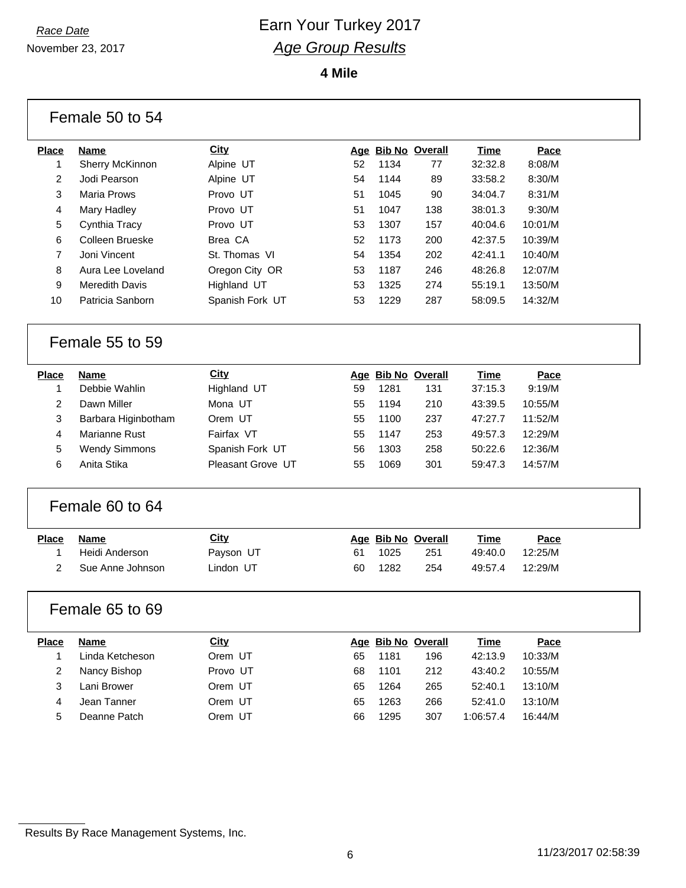November 23, 2017

**4 Mile**

|                | Female 50 to 54       |                   |    |      |                    |             |         |  |
|----------------|-----------------------|-------------------|----|------|--------------------|-------------|---------|--|
| <b>Place</b>   | Name                  | <b>City</b>       |    |      | Age Bib No Overall | <b>Time</b> | Pace    |  |
| $\mathbf{1}$   | Sherry McKinnon       | Alpine UT         | 52 | 1134 | 77                 | 32:32.8     | 8:08/M  |  |
| 2              | Jodi Pearson          | Alpine UT         | 54 | 1144 | 89                 | 33:58.2     | 8:30/M  |  |
| 3              | <b>Maria Prows</b>    | Provo UT          | 51 | 1045 | 90                 | 34:04.7     | 8:31/M  |  |
| 4              | Mary Hadley           | Provo UT          | 51 | 1047 | 138                | 38:01.3     | 9:30/M  |  |
| 5              | Cynthia Tracy         | Provo UT          | 53 | 1307 | 157                | 40:04.6     | 10:01/M |  |
| 6              | Colleen Brueske       | Brea CA           | 52 | 1173 | 200                | 42:37.5     | 10:39/M |  |
| $\overline{7}$ | Joni Vincent          | St. Thomas VI     | 54 | 1354 | 202                | 42:41.1     | 10:40/M |  |
| 8              | Aura Lee Loveland     | Oregon City OR    | 53 | 1187 | 246                | 48:26.8     | 12:07/M |  |
| 9              | <b>Meredith Davis</b> | Highland UT       | 53 | 1325 | 274                | 55:19.1     | 13:50/M |  |
| 10             | Patricia Sanborn      | Spanish Fork UT   | 53 | 1229 | 287                | 58:09.5     | 14:32/M |  |
|                | Female 55 to 59       |                   |    |      |                    |             |         |  |
| <b>Place</b>   | <b>Name</b>           | <b>City</b>       |    |      | Age Bib No Overall | <b>Time</b> | Pace    |  |
| 1              | Debbie Wahlin         | Highland UT       | 59 | 1281 | 131                | 37:15.3     | 9:19/M  |  |
| $\overline{2}$ | Dawn Miller           | Mona UT           | 55 | 1194 | 210                | 43:39.5     | 10:55/M |  |
| 3              | Barbara Higinbotham   | Orem UT           | 55 | 1100 | 237                | 47:27.7     | 11:52/M |  |
| 4              | Marianne Rust         | Fairfax VT        | 55 | 1147 | 253                | 49:57.3     | 12:29/M |  |
| 5              | <b>Wendy Simmons</b>  | Spanish Fork UT   | 56 | 1303 | 258                | 50:22.6     | 12:36/M |  |
| 6              | Anita Stika           | Pleasant Grove UT | 55 | 1069 | 301                | 59:47.3     | 14:57/M |  |
|                | Female 60 to 64       |                   |    |      |                    |             |         |  |
| <b>Place</b>   | <b>Name</b>           | <b>City</b>       |    |      | Age Bib No Overall | <b>Time</b> | Pace    |  |
| 1              | Heidi Anderson        | Payson UT         | 61 | 1025 | 251                | 49:40.0     | 12:25/M |  |
| $\overline{2}$ | Sue Anne Johnson      | Lindon UT         | 60 | 1282 | 254                | 49:57.4     | 12:29/M |  |
|                | Female 65 to 69       |                   |    |      |                    |             |         |  |
| Place          | <b>Name</b>           | City              |    |      | Age Bib No Overall | <b>Time</b> | Pace    |  |
| 1              | Linda Ketcheson       | Orem UT           | 65 | 1181 | 196                | 42:13.9     | 10:33/M |  |
| 2              | Nancy Bishop          | Provo UT          | 68 | 1101 | 212                | 43:40.2     | 10:55/M |  |
| 3              | Lani Brower           | Orem UT           | 65 | 1264 | 265                | 52:40.1     | 13:10/M |  |
| 4              | Jean Tanner           | Orem UT           | 65 | 1263 | 266                | 52:41.0     | 13:10/M |  |
| 5              | Deanne Patch          | Orem UT           | 66 | 1295 | 307                | 1:06:57.4   | 16:44/M |  |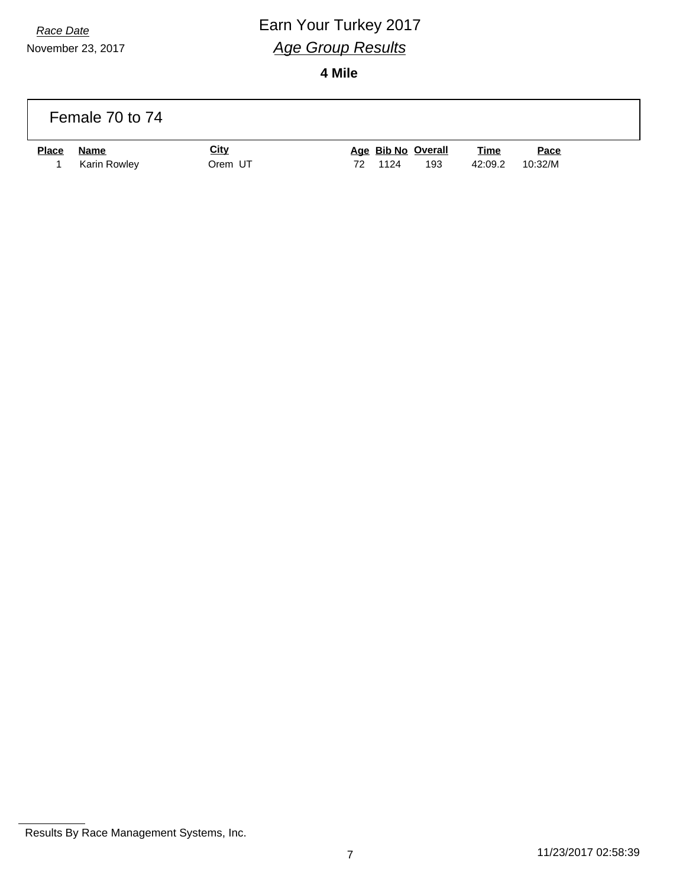# *Race Date* **Earn Your Turkey 2017** *Age Group Results*

|       | Female 70 to 74             |                        |                                         |                        |                 |
|-------|-----------------------------|------------------------|-----------------------------------------|------------------------|-----------------|
| Place | <b>Name</b><br>Karin Rowley | <u>City</u><br>Orem UT | Age Bib No Overall<br>1124<br>193<br>72 | <u>Time</u><br>42:09.2 | Pace<br>10:32/M |

Results By Race Management Systems, Inc.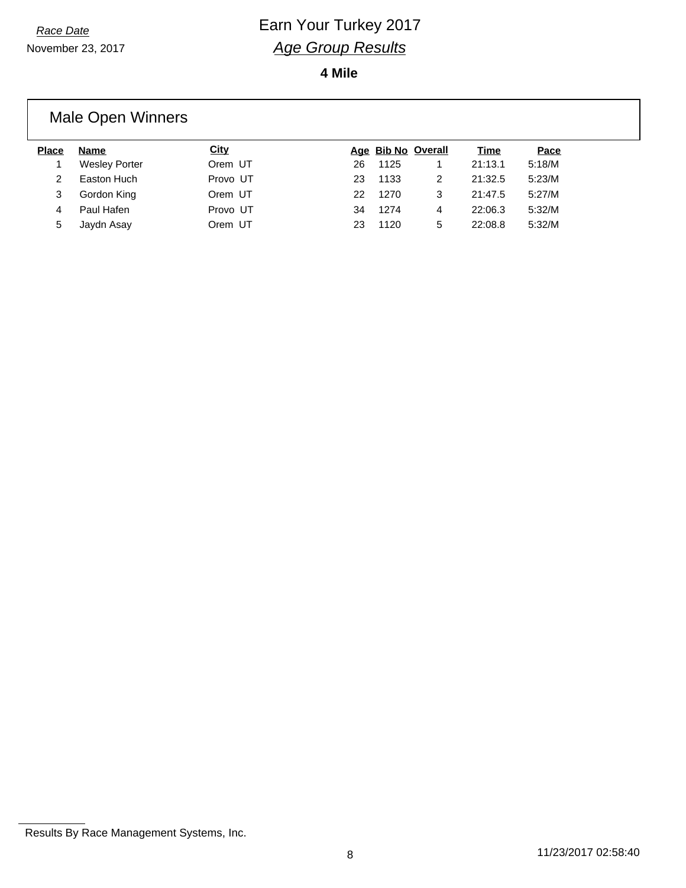**4 Mile**

#### Male Open Winners **Place Name City Age Bib No Overall Time Pace** 1 Wesley Porter **Orem UT** 26 1125 1 21:13.1 5:18/M 2 Easton Huch Provo UT 23 1133 2 21:32.5 5:23/M 3 Gordon King Orem UT 22 1270 3 21:47.5 5:27/M 4 Paul Hafen Provo UT 34 1274 4 22:06.3 5:32/M 5 Jaydn Asay Orem UT 23 1120 5 22:08.8 5:32/M

Results By Race Management Systems, Inc.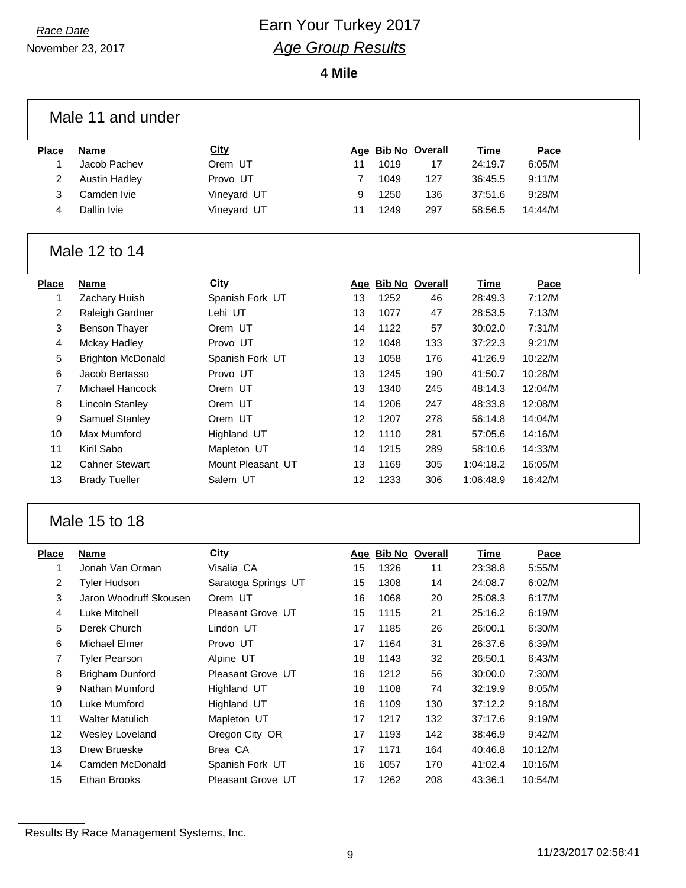November 23, 2017

|                 | Male 11 and under        |                     |    |      |                    |             |         |  |
|-----------------|--------------------------|---------------------|----|------|--------------------|-------------|---------|--|
| <b>Place</b>    | <b>Name</b>              | <b>City</b>         |    |      | Age Bib No Overall | <b>Time</b> | Pace    |  |
| 1               | Jacob Pachev             | Orem UT             | 11 | 1019 | 17                 | 24:19.7     | 6:05/M  |  |
| $\overline{2}$  | <b>Austin Hadley</b>     | Provo UT            | 7  | 1049 | 127                | 36:45.5     | 9:11/M  |  |
| 3               | Camden Ivie              | Vineyard UT         | 9  | 1250 | 136                | 37:51.6     | 9:28/M  |  |
| 4               | Dallin Ivie              | Vineyard UT         | 11 | 1249 | 297                | 58:56.5     | 14:44/M |  |
|                 | Male 12 to 14            |                     |    |      |                    |             |         |  |
| <b>Place</b>    | <b>Name</b>              | <b>City</b>         |    |      | Age Bib No Overall | <b>Time</b> | Pace    |  |
| 1               | Zachary Huish            | Spanish Fork UT     | 13 | 1252 | 46                 | 28:49.3     | 7:12/M  |  |
| $\overline{a}$  | Raleigh Gardner          | Lehi UT             | 13 | 1077 | 47                 | 28:53.5     | 7:13/M  |  |
| 3               | <b>Benson Thayer</b>     | Orem UT             | 14 | 1122 | 57                 | 30:02.0     | 7:31/M  |  |
| 4               | Mckay Hadley             | Provo UT            | 12 | 1048 | 133                | 37:22.3     | 9:21/M  |  |
| 5               | <b>Brighton McDonald</b> | Spanish Fork UT     | 13 | 1058 | 176                | 41:26.9     | 10:22/M |  |
| 6               | Jacob Bertasso           | Provo UT            | 13 | 1245 | 190                | 41:50.7     | 10:28/M |  |
| $\overline{7}$  | Michael Hancock          | Orem UT             | 13 | 1340 | 245                | 48:14.3     | 12:04/M |  |
| 8               | <b>Lincoln Stanley</b>   | Orem UT             | 14 | 1206 | 247                | 48:33.8     | 12:08/M |  |
| 9               | Samuel Stanley           | Orem UT             | 12 | 1207 | 278                | 56:14.8     | 14:04/M |  |
| 10              | <b>Max Mumford</b>       | Highland UT         | 12 | 1110 | 281                | 57:05.6     | 14:16/M |  |
| 11              | Kiril Sabo               | Mapleton UT         | 14 | 1215 | 289                | 58:10.6     | 14:33/M |  |
| 12              | <b>Cahner Stewart</b>    | Mount Pleasant UT   | 13 | 1169 | 305                | 1:04:18.2   | 16:05/M |  |
| 13              | <b>Brady Tueller</b>     | Salem UT            | 12 | 1233 | 306                | 1:06:48.9   | 16:42/M |  |
|                 | Male 15 to 18            |                     |    |      |                    |             |         |  |
| <b>Place</b>    | <b>Name</b>              | <b>City</b>         |    |      | Age Bib No Overall | <b>Time</b> | Pace    |  |
| 1               | Jonah Van Orman          | Visalia CA          | 15 | 1326 | 11                 | 23:38.8     | 5:55/M  |  |
| $\overline{2}$  | <b>Tyler Hudson</b>      | Saratoga Springs UT | 15 | 1308 | 14                 | 24:08.7     | 6:02/M  |  |
| 3               | Jaron Woodruff Skousen   | Orem UT             | 16 | 1068 | 20                 | 25:08.3     | 6:17/M  |  |
| 4               | Luke Mitchell            | Pleasant Grove UT   | 15 | 1115 | 21                 | 25:16.2     | 6:19/M  |  |
| 5               | Derek Church             | Lindon UT           | 17 | 1185 | 26                 | 26:00.1     | 6:30/M  |  |
| 6               | Michael Elmer            | Provo UT            | 17 | 1164 | 31                 | 26:37.6     | 6:39/M  |  |
| $\overline{7}$  | <b>Tyler Pearson</b>     | Alpine UT           | 18 | 1143 | 32                 | 26:50.1     | 6:43/M  |  |
| 8               | <b>Brigham Dunford</b>   | Pleasant Grove UT   | 16 | 1212 | 56                 | 30:00.0     | 7:30/M  |  |
| 9               | Nathan Mumford           | Highland UT         | 18 | 1108 | 74                 | 32:19.9     | 8:05/M  |  |
| 10 <sup>1</sup> | Luke Mumford             | Highland UT         | 16 | 1109 | 130                | 37:12.2     | 9:18/M  |  |
| 11              | <b>Walter Matulich</b>   | Mapleton UT         | 17 | 1217 | 132                | 37:17.6     | 9:19/M  |  |
| 12              | Wesley Loveland          | Oregon City OR      | 17 | 1193 | 142                | 38:46.9     | 9:42/M  |  |
| 13              | Drew Brueske             | Brea CA             | 17 | 1171 | 164                | 40:46.8     | 10:12/M |  |
| 14              | Camden McDonald          | Spanish Fork UT     | 16 | 1057 | 170                | 41:02.4     | 10:16/M |  |
| 15              | Ethan Brooks             | Pleasant Grove UT   | 17 | 1262 | 208                | 43:36.1     | 10:54/M |  |

Results By Race Management Systems, Inc.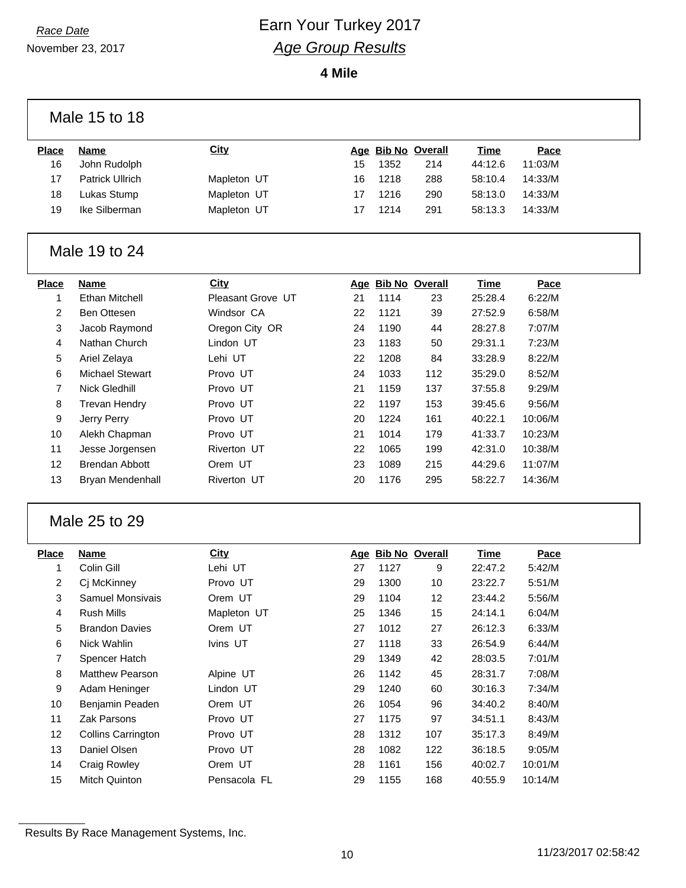### *Race Date* **Earn Your Turkey 2017** *Age Group Results*

**4 Mile**

|                         | Male 15 to 18          |                   |    |      |                    |             |         |  |
|-------------------------|------------------------|-------------------|----|------|--------------------|-------------|---------|--|
| <b>Place</b>            | <b>Name</b>            | <b>City</b>       |    |      | Age Bib No Overall | <b>Time</b> | Pace    |  |
| 16                      | John Rudolph           |                   | 15 | 1352 | 214                | 44:12.6     | 11:03/M |  |
| 17                      | <b>Patrick Ullrich</b> | Mapleton UT       | 16 | 1218 | 288                | 58:10.4     | 14:33/M |  |
| 18                      | Lukas Stump            | Mapleton UT       | 17 | 1216 | 290                | 58:13.0     | 14:33/M |  |
| 19                      | Ike Silberman          | Mapleton UT       | 17 | 1214 | 291                | 58:13.3     | 14:33/M |  |
|                         |                        |                   |    |      |                    |             |         |  |
|                         | Male 19 to 24          |                   |    |      |                    |             |         |  |
| <b>Place</b>            | <b>Name</b>            | City              |    |      | Age Bib No Overall | <b>Time</b> | Pace    |  |
| 1                       | <b>Ethan Mitchell</b>  | Pleasant Grove UT | 21 | 1114 | 23                 | 25:28.4     | 6:22/M  |  |
| 2                       | Ben Ottesen            | Windsor CA        | 22 | 1121 | 39                 | 27:52.9     | 6:58/M  |  |
| 3                       | Jacob Raymond          | Oregon City OR    | 24 | 1190 | 44                 | 28:27.8     | 7:07/M  |  |
| 4                       | Nathan Church          | Lindon UT         | 23 | 1183 | 50                 | 29:31.1     | 7:23/M  |  |
| 5                       | Ariel Zelaya           | Lehi UT           | 22 | 1208 | 84                 | 33:28.9     | 8:22/M  |  |
| 6                       | <b>Michael Stewart</b> | Provo UT          | 24 | 1033 | 112                | 35:29.0     | 8:52/M  |  |
| 7                       | <b>Nick Gledhill</b>   | Provo UT          | 21 | 1159 | 137                | 37:55.8     | 9:29/M  |  |
| 8                       | <b>Trevan Hendry</b>   | Provo UT          | 22 | 1197 | 153                | 39:45.6     | 9:56/M  |  |
| 9                       | Jerry Perry            | Provo UT          | 20 | 1224 | 161                | 40:22.1     | 10:06/M |  |
| 10                      | Alekh Chapman          | Provo UT          | 21 | 1014 | 179                | 41:33.7     | 10:23/M |  |
| 11                      | Jesse Jorgensen        | Riverton UT       | 22 | 1065 | 199                | 42:31.0     | 10:38/M |  |
| 12                      | <b>Brendan Abbott</b>  | Orem UT           | 23 | 1089 | 215                | 44:29.6     | 11:07/M |  |
| 13                      | Bryan Mendenhall       | Riverton UT       | 20 | 1176 | 295                | 58:22.7     | 14:36/M |  |
|                         |                        |                   |    |      |                    |             |         |  |
|                         | Male 25 to 29          |                   |    |      |                    |             |         |  |
| <b>Place</b>            | <b>Name</b>            | <b>City</b>       |    |      | Age Bib No Overall | <b>Time</b> | Pace    |  |
| 1                       | Colin Gill             | Lehi UT           | 27 | 1127 | 9                  | 22:47.2     | 5:42/M  |  |
| $\overline{\mathbf{c}}$ | Cj McKinney            | Provo UT          | 29 | 1300 | 10                 | 23:22.7     | 5:51/M  |  |
| 3                       | Samuel Monsivais       | Orem UT           | 29 | 1104 | 12                 | 23:44.2     | 5:56/M  |  |
| 4                       | Rush Mills             | Mapleton UT       | 25 | 1346 | 15                 | 24:14.1     | 6:04/M  |  |
| 5                       | <b>Brandon Davies</b>  | Orem UT           | 27 | 1012 | $27\,$             | 26:12.3     | 6:33/M  |  |
| 6                       | Nick Wahlin            | Ivins UT          | 27 | 1118 | 33                 | 26:54.9     | 6:44/M  |  |
| 7                       | Spencer Hatch          |                   | 29 | 1349 | 42                 | 28:03.5     | 7:01/M  |  |
| 8                       | Matthew Pearson        | Alpine UT         | 26 | 1142 | 45                 | 28:31.7     | 7:08/M  |  |
| 9                       | Adam Heninger          | Lindon UT         | 29 | 1240 | 60                 | 30:16.3     | 7:34/M  |  |
| 10 <sup>°</sup>         | Benjamin Peaden        | Orem UT           | 26 | 1054 | 96                 | 34:40.2     | 8:40/M  |  |
| 11                      | Zak Parsons            | Provo UT          | 27 | 1175 | 97                 | 34:51.1     | 8:43/M  |  |
| 12                      | Collins Carrington     | Provo UT          | 28 | 1312 | 107                | 35:17.3     | 8:49/M  |  |
| 13                      | Daniel Olsen           | Provo UT          | 28 | 1082 | 122                | 36:18.5     | 9:05/M  |  |
| 14                      | <b>Craig Rowley</b>    | Orem UT           | 28 | 1161 | 156                | 40:02.7     | 10:01/M |  |
| 15                      | Mitch Quinton          | Pensacola FL      | 29 | 1155 | 168                | 40:55.9     | 10:14/M |  |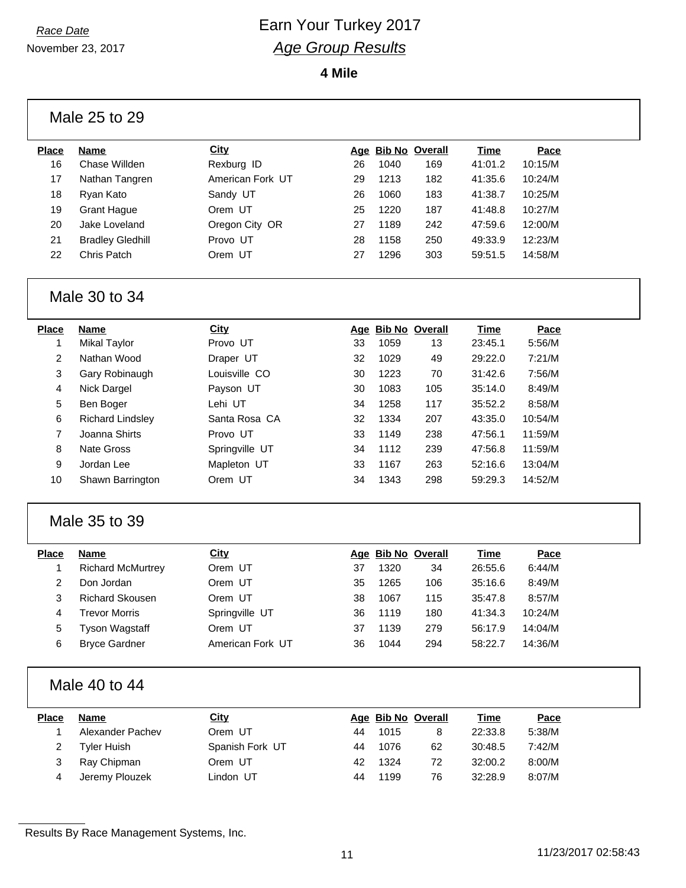November 23, 2017

**4 Mile**

#### Male 25 to 29

| <b>Place</b> | <b>Name</b>             | City             |    | Age Bib No Overall |     | Time    | Pace    |
|--------------|-------------------------|------------------|----|--------------------|-----|---------|---------|
| 16           | Chase Willden           | Rexburg ID       | 26 | 1040               | 169 | 41:01.2 | 10:15/M |
| 17           | Nathan Tangren          | American Fork UT | 29 | 1213               | 182 | 41:35.6 | 10:24/M |
| 18           | Ryan Kato               | Sandy UT         | 26 | 1060               | 183 | 41:38.7 | 10:25/M |
| 19           | <b>Grant Haque</b>      | Orem UT          | 25 | 1220               | 187 | 41:48.8 | 10:27/M |
| 20           | Jake Loveland           | Oregon City OR   | 27 | 1189               | 242 | 47:59.6 | 12:00/M |
| 21           | <b>Bradley Gledhill</b> | Provo UT         | 28 | 1158               | 250 | 49:33.9 | 12:23/M |
| 22           | Chris Patch             | Orem UT          | 27 | 1296               | 303 | 59:51.5 | 14:58/M |
|              |                         |                  |    |                    |     |         |         |

#### Male 30 to 34

| Place | <b>Name</b>             | City           |    | Age Bib No Overall |     | Time    | Pace    |
|-------|-------------------------|----------------|----|--------------------|-----|---------|---------|
|       | Mikal Taylor            | Provo UT       | 33 | 1059               | 13  | 23:45.1 | 5:56/M  |
| 2     | Nathan Wood             | Draper UT      | 32 | 1029               | 49  | 29:22.0 | 7:21/M  |
| 3     | Gary Robinaugh          | Louisville CO  | 30 | 1223               | 70  | 31:42.6 | 7:56/M  |
| 4     | Nick Dargel             | Payson UT      | 30 | 1083               | 105 | 35:14.0 | 8:49/M  |
| 5     | Ben Boger               | Lehi UT        | 34 | 1258               | 117 | 35:52.2 | 8:58/M  |
| 6     | <b>Richard Lindsley</b> | Santa Rosa CA  | 32 | 1334               | 207 | 43:35.0 | 10:54/M |
| 7     | Joanna Shirts           | Provo UT       | 33 | 1149               | 238 | 47:56.1 | 11:59/M |
| 8     | Nate Gross              | Springville UT | 34 | 1112               | 239 | 47:56.8 | 11:59/M |
| 9     | Jordan Lee              | Mapleton UT    | 33 | 1167               | 263 | 52:16.6 | 13:04/M |
| 10    | Shawn Barrington        | Orem UT        | 34 | 1343               | 298 | 59:29.3 | 14:52/M |
|       |                         |                |    |                    |     |         |         |

#### Male 35 to 39

| Place | <b>Name</b>              | City             |    | Age Bib No Overall |     | Time    | Pace    |
|-------|--------------------------|------------------|----|--------------------|-----|---------|---------|
|       | <b>Richard McMurtrey</b> | Orem UT          | 37 | 1320               | 34  | 26:55.6 | 6:44/M  |
| 2     | Don Jordan               | Orem UT          | 35 | 1265               | 106 | 35:16.6 | 8:49/M  |
| 3     | <b>Richard Skousen</b>   | Orem UT          | 38 | 1067               | 115 | 35:47.8 | 8:57/M  |
| 4     | <b>Trevor Morris</b>     | Springville UT   | 36 | 1119               | 180 | 41:34.3 | 10:24/M |
| 5     | Tyson Wagstaff           | Orem UT          | 37 | 1139               | 279 | 56:17.9 | 14:04/M |
| 6     | <b>Bryce Gardner</b>     | American Fork UT | 36 | 1044               | 294 | 58:22.7 | 14:36/M |
|       |                          |                  |    |                    |     |         |         |

#### Male 40 to 44

| <b>Place</b> | <b>Name</b>        | <u>City</u>     |     | Age Bib No Overall |    | <u>Time</u> | Pace   |
|--------------|--------------------|-----------------|-----|--------------------|----|-------------|--------|
|              | Alexander Pachev   | Orem UT         | 44  | 1015               | 8  | 22:33.8     | 5:38/M |
|              | <b>Tyler Huish</b> | Spanish Fork UT | 44  | 1076               | 62 | 30:48.5     | 7:42/M |
|              | Ray Chipman        | Orem UT         | 42. | 1324               | 72 | 32:00.2     | 8:00/M |
|              | Jeremy Plouzek     | Lindon UT       | 44  | 1199               | 76 | 32:28.9     | 8:07/M |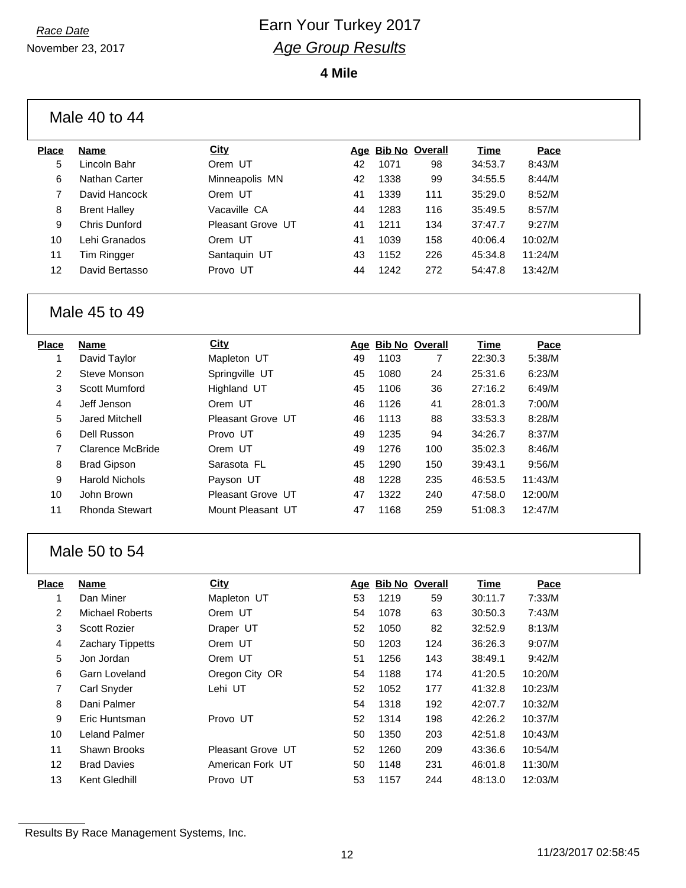November 23, 2017

**4 Mile**

Male 40 to 44

| Place | <b>Name</b>         | <b>City</b>       |    | Age Bib No Overall |     | Time    | Pace    |
|-------|---------------------|-------------------|----|--------------------|-----|---------|---------|
| 5     | Lincoln Bahr        | Orem UT           | 42 | 1071               | 98  | 34:53.7 | 8:43/M  |
| 6     | Nathan Carter       | Minneapolis MN    | 42 | 1338               | 99  | 34:55.5 | 8:44/M  |
|       | David Hancock       | Orem UT           | 41 | 1339               | 111 | 35:29.0 | 8:52/M  |
| 8     | <b>Brent Halley</b> | Vacaville CA      | 44 | 1283               | 116 | 35:49.5 | 8:57/M  |
| 9     | Chris Dunford       | Pleasant Grove UT | 41 | 1211               | 134 | 37:47.7 | 9:27/M  |
| 10    | Lehi Granados       | Orem UT           | 41 | 1039               | 158 | 40:06.4 | 10:02/M |
| 11    | Tim Ringger         | Santaquin UT      | 43 | 1152               | 226 | 45:34.8 | 11:24/M |
| 12    | David Bertasso      | Provo UT          | 44 | 1242               | 272 | 54:47.8 | 13:42/M |
|       |                     |                   |    |                    |     |         |         |

#### Male 45 to 49

| Place | <b>Name</b>           | City              |    | Age Bib No Overall |     | <b>Time</b> | Pace    |
|-------|-----------------------|-------------------|----|--------------------|-----|-------------|---------|
|       | David Taylor          | Mapleton UT       | 49 | 1103               | 7   | 22:30.3     | 5:38/M  |
| 2     | Steve Monson          | Springville UT    | 45 | 1080               | 24  | 25:31.6     | 6:23/M  |
| 3     | Scott Mumford         | Highland UT       | 45 | 1106               | 36  | 27:16.2     | 6:49/M  |
| 4     | Jeff Jenson           | Orem UT           | 46 | 1126               | 41  | 28:01.3     | 7:00/M  |
| 5     | <b>Jared Mitchell</b> | Pleasant Grove UT | 46 | 1113               | 88  | 33:53.3     | 8:28/M  |
| 6     | Dell Russon           | Provo UT          | 49 | 1235               | 94  | 34:26.7     | 8:37/M  |
| 7     | Clarence McBride      | Orem UT           | 49 | 1276               | 100 | 35:02.3     | 8:46/M  |
| 8     | <b>Brad Gipson</b>    | Sarasota FL       | 45 | 1290               | 150 | 39:43.1     | 9:56/M  |
| 9     | <b>Harold Nichols</b> | Payson UT         | 48 | 1228               | 235 | 46:53.5     | 11:43/M |
| 10    | John Brown            | Pleasant Grove UT | 47 | 1322               | 240 | 47:58.0     | 12:00/M |
| 11    | Rhonda Stewart        | Mount Pleasant UT | 47 | 1168               | 259 | 51:08.3     | 12:47/M |
|       |                       |                   |    |                    |     |             |         |

#### Male 50 to 54

| Place | Name                    | <b>City</b>       |    | Age Bib No Overall |     | Time    | Pace    |
|-------|-------------------------|-------------------|----|--------------------|-----|---------|---------|
| 1     | Dan Miner               | Mapleton UT       | 53 | 1219               | 59  | 30:11.7 | 7:33/M  |
| 2     | Michael Roberts         | Orem UT           | 54 | 1078               | 63  | 30:50.3 | 7:43/M  |
| 3     | <b>Scott Rozier</b>     | Draper UT         | 52 | 1050               | 82  | 32:52.9 | 8:13/M  |
| 4     | <b>Zachary Tippetts</b> | Orem UT           | 50 | 1203               | 124 | 36:26.3 | 9:07/M  |
| 5     | Jon Jordan              | Orem UT           | 51 | 1256               | 143 | 38:49.1 | 9:42/M  |
| 6     | Garn Loveland           | Oregon City OR    | 54 | 1188               | 174 | 41:20.5 | 10:20/M |
| 7     | <b>Carl Snyder</b>      | Lehi UT           | 52 | 1052               | 177 | 41:32.8 | 10:23/M |
| 8     | Dani Palmer             |                   | 54 | 1318               | 192 | 42:07.7 | 10:32/M |
| 9     | Eric Huntsman           | Provo UT          | 52 | 1314               | 198 | 42:26.2 | 10:37/M |
| 10    | Leland Palmer           |                   | 50 | 1350               | 203 | 42:51.8 | 10:43/M |
| 11    | Shawn Brooks            | Pleasant Grove UT | 52 | 1260               | 209 | 43:36.6 | 10:54/M |
| 12    | <b>Brad Davies</b>      | American Fork UT  | 50 | 1148               | 231 | 46:01.8 | 11:30/M |
| 13    | Kent Gledhill           | Provo UT          | 53 | 1157               | 244 | 48:13.0 | 12:03/M |
|       |                         |                   |    |                    |     |         |         |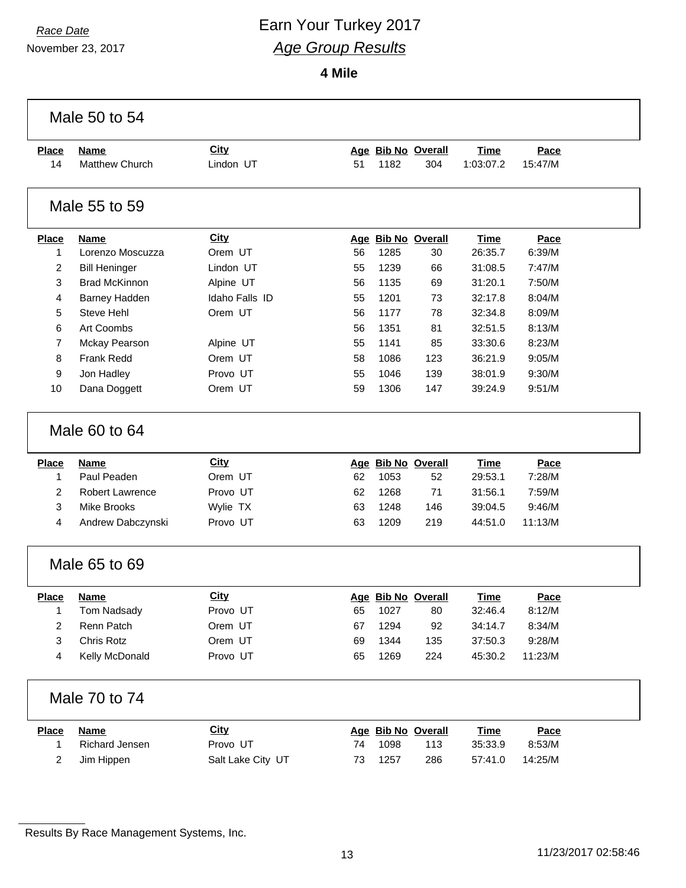# *Race Date* **Earn Your Turkey 2017** *Age Group Results*

**4 Mile**

|                | Male 50 to 54          |                   |    |      |                    |             |             |  |
|----------------|------------------------|-------------------|----|------|--------------------|-------------|-------------|--|
| <b>Place</b>   | <b>Name</b>            | <b>City</b>       |    |      | Age Bib No Overall | <b>Time</b> | Pace        |  |
| 14             | Matthew Church         | Lindon UT         | 51 | 1182 | 304                | 1:03:07.2   | 15:47/M     |  |
|                | Male 55 to 59          |                   |    |      |                    |             |             |  |
| <b>Place</b>   | <b>Name</b>            | <b>City</b>       |    |      | Age Bib No Overall | <b>Time</b> | Pace        |  |
| 1              | Lorenzo Moscuzza       | Orem UT           | 56 | 1285 | 30                 | 26:35.7     | 6:39/M      |  |
| 2              | <b>Bill Heninger</b>   | Lindon UT         | 55 | 1239 | 66                 | 31:08.5     | 7:47/M      |  |
| 3              | <b>Brad McKinnon</b>   | Alpine UT         | 56 | 1135 | 69                 | 31:20.1     | 7:50/M      |  |
| 4              | <b>Barney Hadden</b>   | Idaho Falls ID    | 55 | 1201 | 73                 | 32:17.8     | 8:04/M      |  |
| 5              | Steve Hehl             | Orem UT           | 56 | 1177 | 78                 | 32:34.8     | 8:09/M      |  |
| 6              | Art Coombs             |                   | 56 | 1351 | 81                 | 32:51.5     | 8:13/M      |  |
| 7              | Mckay Pearson          | Alpine UT         | 55 | 1141 | 85                 | 33:30.6     | 8:23/M      |  |
| 8              | Frank Redd             | Orem UT           | 58 | 1086 | 123                | 36:21.9     | 9:05/M      |  |
| 9              | Jon Hadley             | Provo UT          | 55 | 1046 | 139                | 38:01.9     | 9:30/M      |  |
| 10             | Dana Doggett           | Orem UT           | 59 | 1306 | 147                | 39:24.9     | 9:51/M      |  |
|                | Male 60 to 64          |                   |    |      |                    |             |             |  |
| <b>Place</b>   | <b>Name</b>            | <b>City</b>       |    |      | Age Bib No Overall | <b>Time</b> | Pace        |  |
| 1              | Paul Peaden            | Orem UT           | 62 | 1053 | 52                 | 29:53.1     | 7:28/M      |  |
| $\overline{c}$ | <b>Robert Lawrence</b> | Provo UT          | 62 | 1268 | 71                 | 31:56.1     | 7:59/M      |  |
| 3              | <b>Mike Brooks</b>     | Wylie TX          | 63 | 1248 | 146                | 39:04.5     | 9:46/M      |  |
| 4              | Andrew Dabczynski      | Provo UT          | 63 | 1209 | 219                | 44:51.0     | 11:13/M     |  |
|                | Male 65 to 69          |                   |    |      |                    |             |             |  |
| <b>Place</b>   | <b>Name</b>            | City              |    |      | Age Bib No Overall | Time        | Pace        |  |
| 1              | Tom Nadsady            | Provo UT          | 65 | 1027 | 80                 | 32:46.4     | 8:12/M      |  |
| 2              | Renn Patch             | Orem UT           | 67 | 1294 | 92                 | 34:14.7     | 8:34/M      |  |
| 3              | Chris Rotz             | Orem UT           | 69 | 1344 | 135                | 37:50.3     | 9:28/M      |  |
| 4              | Kelly McDonald         | Provo UT          | 65 | 1269 | 224                | 45:30.2     | 11:23/M     |  |
|                | Male 70 to 74          |                   |    |      |                    |             |             |  |
| <b>Place</b>   | <b>Name</b>            | <b>City</b>       |    |      | Age Bib No Overall | <u>Time</u> | <b>Pace</b> |  |
| 1              | <b>Richard Jensen</b>  | Provo UT          | 74 | 1098 | 113                | 35:33.9     | 8:53/M      |  |
| 2              | Jim Hippen             | Salt Lake City UT | 73 | 1257 | 286                | 57:41.0     | 14:25/M     |  |